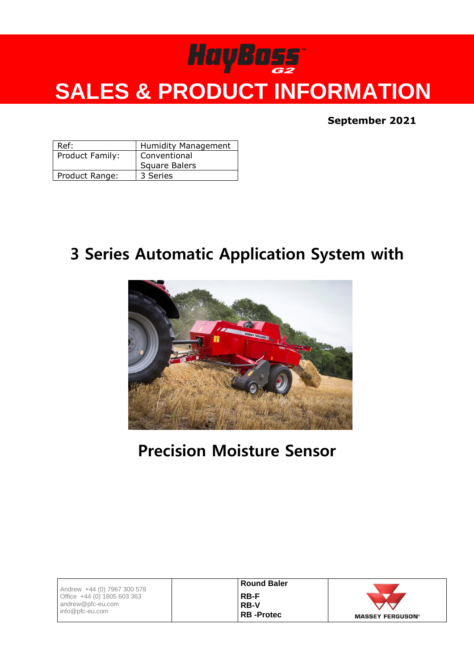# HayBoss<sup>®</sup> **SALES & PRODUCT INFORMATION**

**September 2021**

| Ref:            | <b>Humidity Management</b> |  |
|-----------------|----------------------------|--|
| Product Family: | Conventional               |  |
|                 | <b>Square Balers</b>       |  |
| Product Range:  | 3 Series                   |  |

#### **3 Series Automatic Application System with**



**Precision Moisture Sensor**

| Andrew +44 (0) 7967 300 578          | <b>Round Baler</b> |                         |
|--------------------------------------|--------------------|-------------------------|
| Office $+44$ (0) 1805 603 363        | <b>RB-F</b>        |                         |
| andrew@pfc-eu.com<br>info@pfc-eu.com | <b>RB-V</b>        |                         |
|                                      | <b>RB</b> -Protec  | <b>MASSEY FERGUSON®</b> |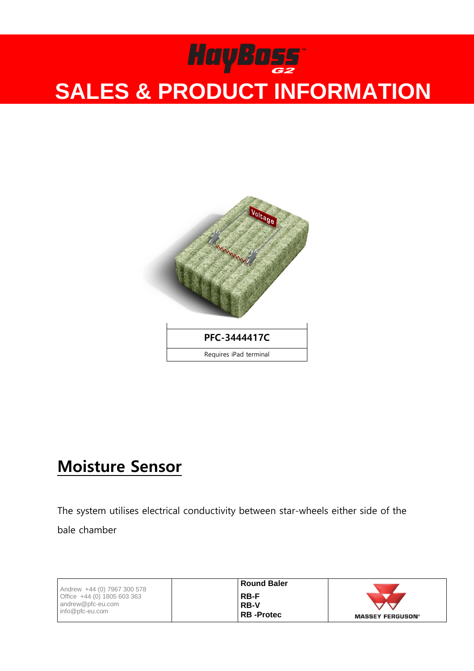

#### **Moisture Sensor**

The system utilises electrical conductivity between star-wheels either side of the bale chamber

| Andrew +44 (0) 7967 300 578   | <b>Round Baler</b> |                         |
|-------------------------------|--------------------|-------------------------|
| Office $+44$ (0) 1805 603 363 | <b>RB-F</b>        |                         |
| andrew@pfc-eu.com             | <b>RB-V</b>        |                         |
| info@pfc-eu.com               | RB -Protec         | <b>MASSEY FERGUSON®</b> |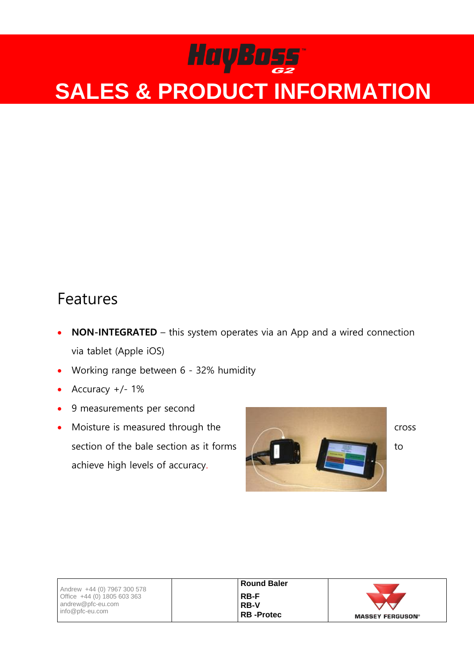#### Features

- **NON-INTEGRATED** this system operates via an App and a wired connection via tablet (Apple iOS)
- Working range between 6 32% humidity
- Accuracy +/- 1%
- 9 measurements per second
- Moisture is measured through the cross section of the bale section as it forms  $\left\| \begin{array}{ccc} \end{array} \right\|$ achieve high levels of accuracy.



| Andrew +44 (0) 7967 300 578                                           | <b>Round Baler</b>                             |                         |
|-----------------------------------------------------------------------|------------------------------------------------|-------------------------|
| Office $+44$ (0) 1805 603 363<br>andrew@pfc-eu.com<br>info@pfc-eu.com | <b>RB-F</b><br><b>RB-V</b><br><b>RB-Protec</b> | <b>MASSEY FERGUSON®</b> |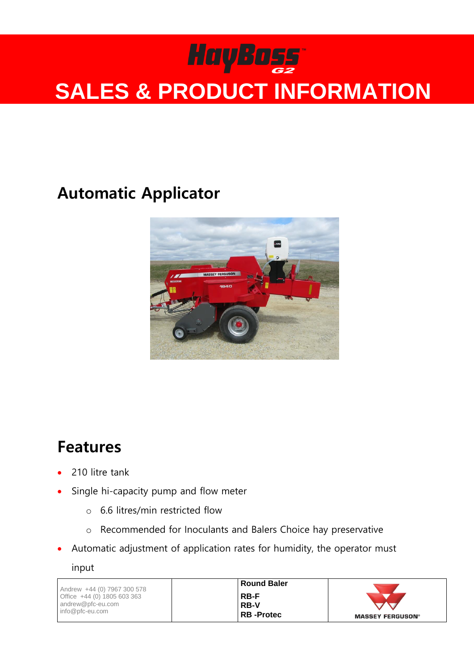### **Automatic Applicator**



### **Features**

- 210 litre tank
- Single hi-capacity pump and flow meter
	- o 6.6 litres/min restricted flow
	- o Recommended for Inoculants and Balers Choice hay preservative
- Automatic adjustment of application rates for humidity, the operator must

input

| Andrew +44 (0) 7967 300 578          | Round Baler       |                         |
|--------------------------------------|-------------------|-------------------------|
| Office $+44$ (0) 1805 603 363        | RB-F              |                         |
| andrew@pfc-eu.com<br>info@pfc-eu.com | .RB-V             |                         |
|                                      | <b>RB</b> -Protec | <b>MASSEY FERGUSON®</b> |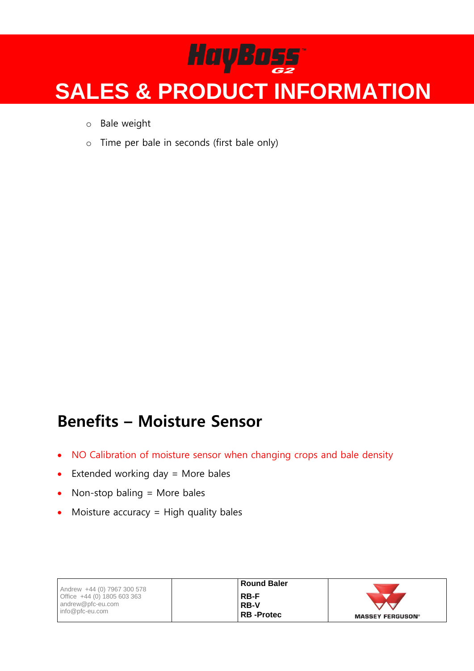- o Bale weight
- o Time per bale in seconds (first bale only)

#### **Benefits – Moisture Sensor**

- NO Calibration of moisture sensor when changing crops and bale density
- $\bullet$  Extended working day = More bales
- Non-stop baling  $=$  More bales
- Moisture accuracy = High quality bales

| Andrew +44 (0) 7967 300 578   | <b>Round Baler</b> |                         |
|-------------------------------|--------------------|-------------------------|
| Office $+44$ (0) 1805 603 363 | <b>RB-F</b>        |                         |
| andrew@pfc-eu.com             | <b>RB-V</b>        |                         |
| info@pfc-eu.com               | <b>RB-Protec</b>   | <b>MASSEY FERGUSON®</b> |